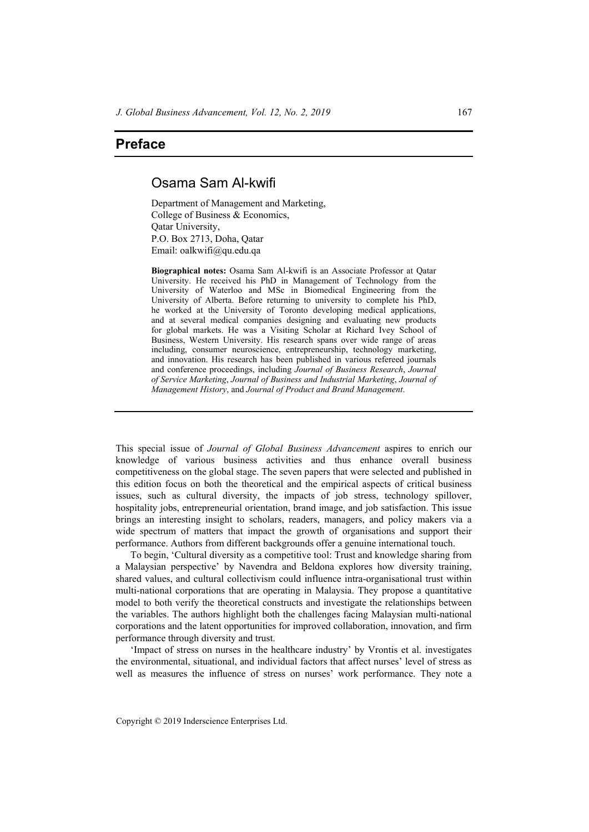## **Preface**

## Osama Sam Al-kwifi

Department of Management and Marketing, College of Business & Economics, Qatar University, P.O. Box 2713, Doha, Qatar Email: oalkwifi@qu.edu.qa

**Biographical notes:** Osama Sam Al-kwifi is an Associate Professor at Qatar University. He received his PhD in Management of Technology from the University of Waterloo and MSc in Biomedical Engineering from the University of Alberta. Before returning to university to complete his PhD, he worked at the University of Toronto developing medical applications, and at several medical companies designing and evaluating new products for global markets. He was a Visiting Scholar at Richard Ivey School of Business, Western University. His research spans over wide range of areas including, consumer neuroscience, entrepreneurship, technology marketing, and innovation. His research has been published in various refereed journals and conference proceedings, including *Journal of Business Research*, *Journal of Service Marketing*, *Journal of Business and Industrial Marketing*, *Journal of Management History*, and *Journal of Product and Brand Management*.

This special issue of *Journal of Global Business Advancement* aspires to enrich our knowledge of various business activities and thus enhance overall business competitiveness on the global stage. The seven papers that were selected and published in this edition focus on both the theoretical and the empirical aspects of critical business issues, such as cultural diversity, the impacts of job stress, technology spillover, hospitality jobs, entrepreneurial orientation, brand image, and job satisfaction. This issue brings an interesting insight to scholars, readers, managers, and policy makers via a wide spectrum of matters that impact the growth of organisations and support their performance. Authors from different backgrounds offer a genuine international touch.

To begin, 'Cultural diversity as a competitive tool: Trust and knowledge sharing from a Malaysian perspective' by Navendra and Beldona explores how diversity training, shared values, and cultural collectivism could influence intra-organisational trust within multi-national corporations that are operating in Malaysia. They propose a quantitative model to both verify the theoretical constructs and investigate the relationships between the variables. The authors highlight both the challenges facing Malaysian multi-national corporations and the latent opportunities for improved collaboration, innovation, and firm performance through diversity and trust.

'Impact of stress on nurses in the healthcare industry' by Vrontis et al. investigates the environmental, situational, and individual factors that affect nurses' level of stress as well as measures the influence of stress on nurses' work performance. They note a